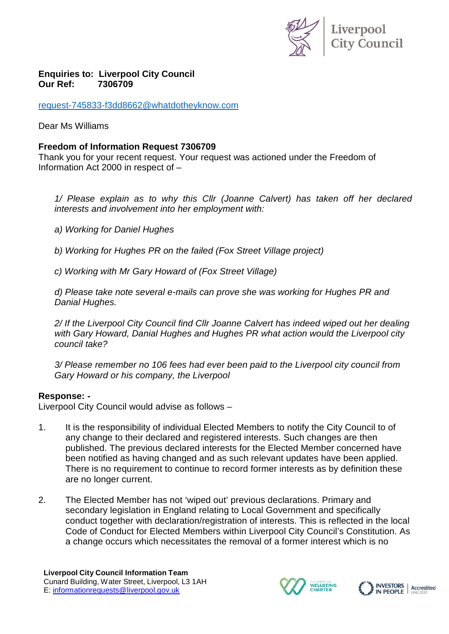

## **Enquiries to: Liverpool City Council Our** Ref:

[request-745833-f3dd8662@whatdotheyknow.com](mailto:xxxxxxxxxxxxxxxxxxxxxxx@xxxxxxxxxxxxxx.xxx)

Dear Ms Williams

## **Freedom of Information Request 7306709**

Thank you for your recent request. Your request was actioned under the Freedom of Information Act 2000 in respect of –

*1/ Please explain as to why this Cllr (Joanne Calvert) has taken off her declared interests and involvement into her employment with:*

*a) Working for Daniel Hughes*

*b) Working for Hughes PR on the failed (Fox Street Village project)*

*c) Working with Mr Gary Howard of (Fox Street Village)*

*d) Please take note several e-mails can prove she was working for Hughes PR and Danial Hughes.*

*2/ If the Liverpool City Council find Cllr Joanne Calvert has indeed wiped out her dealing with Gary Howard, Danial Hughes and Hughes PR what action would the Liverpool city council take?*

*3/ Please remember no 106 fees had ever been paid to the Liverpool city council from Gary Howard or his company, the Liverpool*

## **Response: -**

Liverpool City Council would advise as follows –

- 1. It is the responsibility of individual Elected Members to notify the City Council to of any change to their declared and registered interests. Such changes are then published. The previous declared interests for the Elected Member concerned have been notified as having changed and as such relevant updates have been applied. There is no requirement to continue to record former interests as by definition these are no longer current.
- 2. The Elected Member has not 'wiped out' previous declarations. Primary and secondary legislation in England relating to Local Government and specifically conduct together with declaration/registration of interests. This is reflected in the local Code of Conduct for Elected Members within Liverpool City Council's Constitution. As a change occurs which necessitates the removal of a former interest which is no